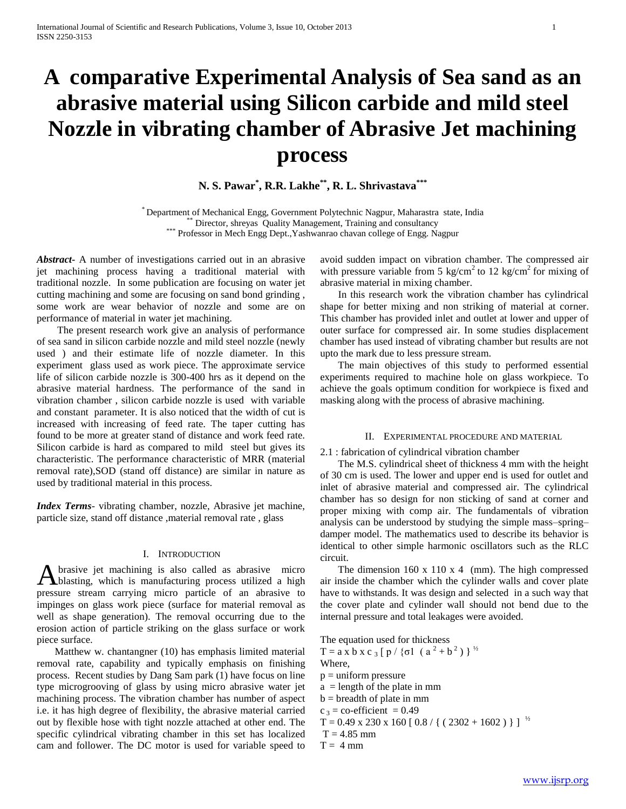# **A comparative Experimental Analysis of Sea sand as an abrasive material using Silicon carbide and mild steel Nozzle in vibrating chamber of Abrasive Jet machining process**

**N. S. Pawar\* , R.R. Lakhe\*\*, R. L. Shrivastava\*\*\***

\* Department of Mechanical Engg, Government Polytechnic Nagpur, Maharastra state, India \*\* Director, shreyas Quality Management, Training and consultancy \*\*\* Professor in Mech Engg Dept., Yashwanrao chavan college of Engg. Nagpur

*Abstract***-** A number of investigations carried out in an abrasive jet machining process having a traditional material with traditional nozzle. In some publication are focusing on water jet cutting machining and some are focusing on sand bond grinding , some work are wear behavior of nozzle and some are on performance of material in water jet machining.

 The present research work give an analysis of performance of sea sand in silicon carbide nozzle and mild steel nozzle (newly used ) and their estimate life of nozzle diameter. In this experiment glass used as work piece. The approximate service life of silicon carbide nozzle is 300-400 hrs as it depend on the abrasive material hardness. The performance of the sand in vibration chamber , silicon carbide nozzle is used with variable and constant parameter. It is also noticed that the width of cut is increased with increasing of feed rate. The taper cutting has found to be more at greater stand of distance and work feed rate. Silicon carbide is hard as compared to mild steel but gives its characteristic. The performance characteristic of MRR (material removal rate),SOD (stand off distance) are similar in nature as used by traditional material in this process.

*Index Terms*- vibrating chamber, nozzle, Abrasive jet machine, particle size, stand off distance ,material removal rate , glass

## I. INTRODUCTION

brasive jet machining is also called as abrasive micro A brasive jet machining is also called as abrasive micro blasting, which is manufacturing process utilized a high pressure stream carrying micro particle of an abrasive to impinges on glass work piece (surface for material removal as well as shape generation). The removal occurring due to the erosion action of particle striking on the glass surface or work piece surface.

 Matthew w. chantangner (10) has emphasis limited material removal rate, capability and typically emphasis on finishing process. Recent studies by Dang Sam park (1) have focus on line type microgrooving of glass by using micro abrasive water jet machining process. The vibration chamber has number of aspect i.e. it has high degree of flexibility, the abrasive material carried out by flexible hose with tight nozzle attached at other end. The specific cylindrical vibrating chamber in this set has localized cam and follower. The DC motor is used for variable speed to avoid sudden impact on vibration chamber. The compressed air with pressure variable from 5 kg/cm<sup>2</sup> to 12 kg/cm<sup>2</sup> for mixing of abrasive material in mixing chamber.

 In this research work the vibration chamber has cylindrical shape for better mixing and non striking of material at corner. This chamber has provided inlet and outlet at lower and upper of outer surface for compressed air. In some studies displacement chamber has used instead of vibrating chamber but results are not upto the mark due to less pressure stream.

 The main objectives of this study to performed essential experiments required to machine hole on glass workpiece. To achieve the goals optimum condition for workpiece is fixed and masking along with the process of abrasive machining.

#### II. EXPERIMENTAL PROCEDURE AND MATERIAL

## 2.1 : fabrication of cylindrical vibration chamber

 The M.S. cylindrical sheet of thickness 4 mm with the height of 30 cm is used. The lower and upper end is used for outlet and inlet of abrasive material and compressed air. The cylindrical chamber has so design for non sticking of sand at corner and proper mixing with comp air. The fundamentals of vibration analysis can be understood by studying the simple mass–spring– damper model. The mathematics used to describe its behavior is identical to other simple harmonic oscillators such as the RLC circuit.

 The dimension 160 x 110 x 4 (mm). The high compressed air inside the chamber which the cylinder walls and cover plate have to withstands. It was design and selected in a such way that the cover plate and cylinder wall should not bend due to the internal pressure and total leakages were avoided.

The equation used for thickness T = a x b x c <sub>3</sub> [ p / {σ1 (a<sup>2</sup> + b<sup>2</sup>) }<sup>1/2</sup> Where,  $p =$  uniform pressure  $a =$  length of the plate in mm  $b = b$  readth of plate in mm  $c_3$  = co-efficient = 0.49  $T = 0.49$  x 230 x 160 [ 0.8 / { ( 2302 + 1602 ) } ]  $^{1/2}$ 

- $T = 4.85$  mm
- $T = 4$  mm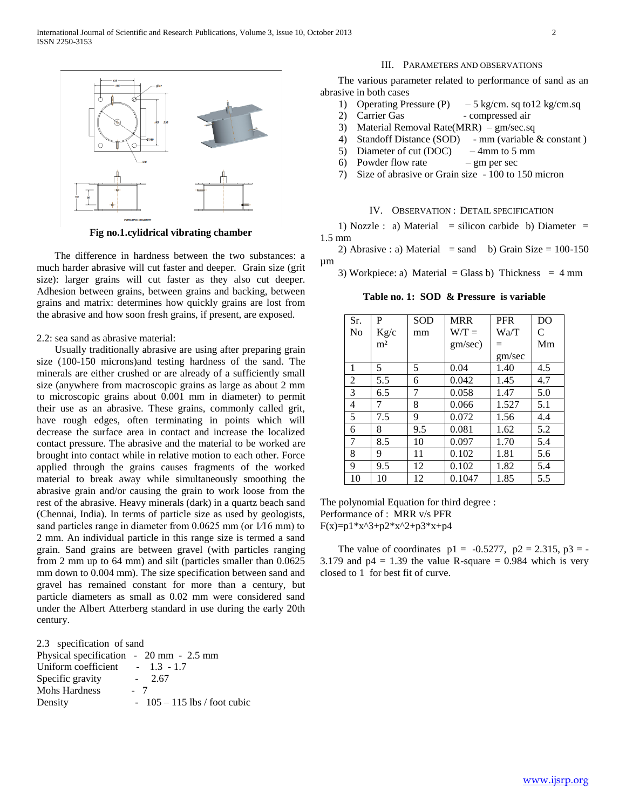

**Fig no.1.cylidrical vibrating chamber**

 The difference in hardness between the two substances: a much harder abrasive will cut faster and deeper. Grain size (grit size): larger grains will cut faster as they also cut deeper. Adhesion between grains, between grains and backing, between grains and matrix: determines how quickly grains are lost from the abrasive and how soon fresh grains, if present, are exposed.

## 2.2: sea sand as abrasive material:

 Usually traditionally abrasive are using after preparing grain size (100-150 microns)and testing hardness of the sand. The minerals are either crushed or are already of a sufficiently small size (anywhere from macroscopic grains as large as about 2 mm to microscopic grains about 0.001 mm in diameter) to permit their use as an abrasive. These grains, commonly called grit, have rough edges, often terminating in points which will decrease the surface area in contact and increase the localized contact pressure. The abrasive and the material to be worked are brought into contact while in relative motion to each other. Force applied through the grains causes fragments of the worked material to break away while simultaneously smoothing the abrasive grain and/or causing the grain to work loose from the rest of the abrasive. Heavy minerals (dark) in a quartz beach sand (Chennai, India). In terms of particle size as used by geologists, sand particles range in diameter from 0.0625 mm (or  $1/16$  mm) to 2 mm. An individual particle in this range size is termed a sand grain. Sand grains are between gravel (with particles ranging from 2 mm up to 64 mm) and silt (particles smaller than 0.0625 mm down to 0.004 mm). The size specification between sand and gravel has remained constant for more than a century, but particle diameters as small as 0.02 mm were considered sand under the Albert Atterberg standard in use during the early 20th century.

|  | 2.3 specification of sand |  |  |
|--|---------------------------|--|--|
|--|---------------------------|--|--|

| Physical specification - 20 mm - 2.5 mm |                             |
|-----------------------------------------|-----------------------------|
| Uniform coefficient                     | $-1.3 - 1.7$                |
| Specific gravity                        | $-2.67$                     |
| <b>Mohs Hardness</b>                    | - 7                         |
| Density                                 | $-105-115$ lbs / foot cubic |

## III. PARAMETERS AND OBSERVATIONS

 The various parameter related to performance of sand as an abrasive in both cases

- 1) Operating Pressure (P)  $-5$  kg/cm. sq to 12 kg/cm. sq
- 2) Carrier Gas compressed air
- 3) Material Removal Rate(MRR) gm/sec.sq
- 4) Standoff Distance (SOD) mm (variable & constant )
- 5) Diameter of cut (DOC) 4mm to 5 mm
- 6) Powder flow rate  $-$  gm per sec
- 7) Size of abrasive or Grain size 100 to 150 micron

## IV. OBSERVATION : DETAIL SPECIFICATION

1) Nozzle : a) Material = silicon carbide b) Diameter = 1.5 mm

2) Abrasive : a) Material = sand b) Grain Size =  $100-150$ µm

3) Workpiece: a) Material = Glass b) Thickness =  $4 \text{ mm}$ 

**Table no. 1: SOD & Pressure is variable**

| Sr.            | P              | <b>SOD</b> | <b>MRR</b> | <b>PFR</b> | D <sub>O</sub> |
|----------------|----------------|------------|------------|------------|----------------|
| No             | Kg/c           | mm         | $W/T =$    | Wa/T       | C              |
|                | m <sup>2</sup> |            | gm/sec)    | $=$        | Mm             |
|                |                |            |            | gm/sec     |                |
| 1              | 5              | 5          | 0.04       | 1.40       | 4.5            |
| $\overline{2}$ | 5.5            | 6          | 0.042      | 1.45       | 4.7            |
| 3              | 6.5            | 7          | 0.058      | 1.47       | 5.0            |
| 4              | 7              | 8          | 0.066      | 1.527      | 5.1            |
| 5              | 7.5            | 9          | 0.072      | 1.56       | 4.4            |
| 6              | 8              | 9.5        | 0.081      | 1.62       | 5.2            |
| 7              | 8.5            | 10         | 0.097      | 1.70       | 5.4            |
| 8              | 9              | 11         | 0.102      | 1.81       | 5.6            |
| 9              | 9.5            | 12         | 0.102      | 1.82       | 5.4            |
| 10             | 10             | 12         | 0.1047     | 1.85       | 5.5            |

The polynomial Equation for third degree : Performance of : MRR v/s PFR  $F(x)=p1*x^{3}+p2*x^{2}+p3*x+p4$ 

The value of coordinates  $p1 = -0.5277$ ,  $p2 = 2.315$ ,  $p3 = -1$ 3.179 and  $p4 = 1.39$  the value R-square = 0.984 which is very closed to 1 for best fit of curve.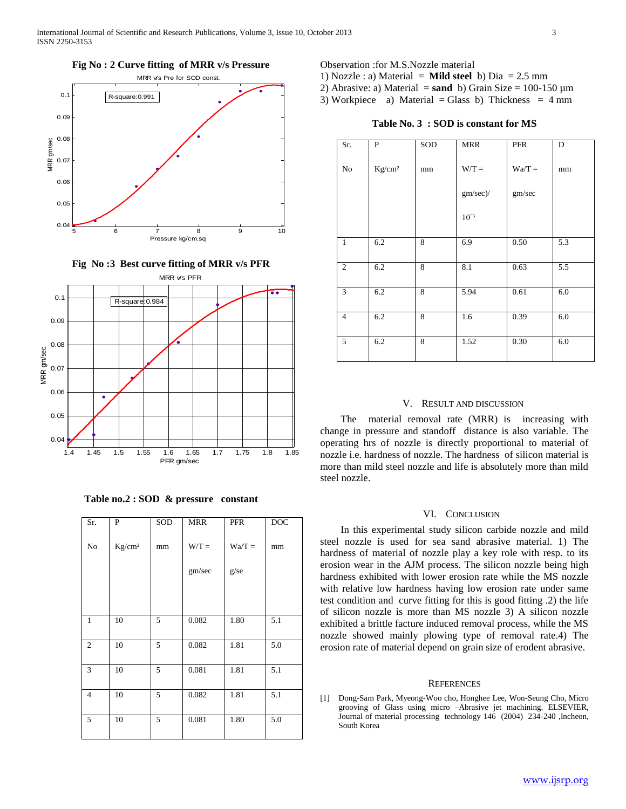

MRR v/s PFR  $\overline{\bullet}$   $\overline{\bullet}$  $0.$ R-square:0.984  $0.09$ 0.08 MRR gm/sec 0.07 0.06  $\bullet$ 0.05 0.04 1.4 1.45 1.5 1.55 1.6 1.65 1.7 1.75 1.8 1.85

**Fig No :3 Best curve fitting of MRR v/s PFR**

**Table no.2 : SOD & pressure constant**

PFR gm/sec

| Sr.            | $\mathbf P$        | SOD | <b>MRR</b> | <b>PFR</b> | DOC |
|----------------|--------------------|-----|------------|------------|-----|
| No             | Kg/cm <sup>2</sup> | mm  | $W/T =$    | $Wa/T =$   | mm  |
|                |                    |     | gm/sec     | g/se       |     |
|                |                    |     |            |            |     |
|                |                    |     |            |            |     |
| 1              | 10                 | 5   | 0.082      | 1.80       | 5.1 |
| $\overline{c}$ | 10                 | 5   | 0.082      | 1.81       | 5.0 |
| 3              | 10                 | 5   | 0.081      | 1.81       | 5.1 |
| $\overline{4}$ | 10                 | 5   | 0.082      | 1.81       | 5.1 |
| 5              | 10                 | 5   | 0.081      | 1.80       | 5.0 |

Observation :for M.S.Nozzle material

- 1) Nozzle : a) Material = **Mild steel** b) Dia = 2.5 mm
- 2) Abrasive: a) Material  $=$  **sand** b) Grain Size  $= 100-150 \mu m$
- 3) Workpiece a) Material = Glass b) Thickness =  $4 \text{ mm}$

**Table No. 3 : SOD is constant for MS**

| Sr.            | P                  | SOD | <b>MRR</b> | <b>PFR</b> | D   |
|----------------|--------------------|-----|------------|------------|-----|
| No             | Kg/cm <sup>2</sup> | mm  | $W/T =$    | $Wa/T =$   | mm  |
|                |                    |     | gm/sec)/   | gm/sec     |     |
|                |                    |     | $10^{-3}$  |            |     |
| $\mathbf{1}$   | 6.2                | 8   | 6.9        | 0.50       | 5.3 |
| $\overline{2}$ | 6.2                | 8   | 8.1        | 0.63       | 5.5 |
| 3              | 6.2                | 8   | 5.94       | 0.61       | 6.0 |
| $\overline{4}$ | 6.2                | 8   | 1.6        | 0.39       | 6.0 |
| 5              | 6.2                | 8   | 1.52       | 0.30       | 6.0 |

# V. RESULT AND DISCUSSION

 The material removal rate (MRR) is increasing with change in pressure and standoff distance is also variable. The operating hrs of nozzle is directly proportional to material of nozzle i.e. hardness of nozzle. The hardness of silicon material is more than mild steel nozzle and life is absolutely more than mild steel nozzle.

## VI. CONCLUSION

 In this experimental study silicon carbide nozzle and mild steel nozzle is used for sea sand abrasive material. 1) The hardness of material of nozzle play a key role with resp. to its erosion wear in the AJM process. The silicon nozzle being high hardness exhibited with lower erosion rate while the MS nozzle with relative low hardness having low erosion rate under same test condition and curve fitting for this is good fitting .2) the life of silicon nozzle is more than MS nozzle 3) A silicon nozzle exhibited a brittle facture induced removal process, while the MS nozzle showed mainly plowing type of removal rate.4) The erosion rate of material depend on grain size of erodent abrasive.

#### **REFERENCES**

[1] Dong-Sam Park, Myeong-Woo cho, Honghee Lee, Won-Seung Cho, Micro grooving of Glass using micro –Abrasive jet machining. ELSEVIER, Journal of material processing technology 146 (2004) 234-240 ,Incheon, South Korea